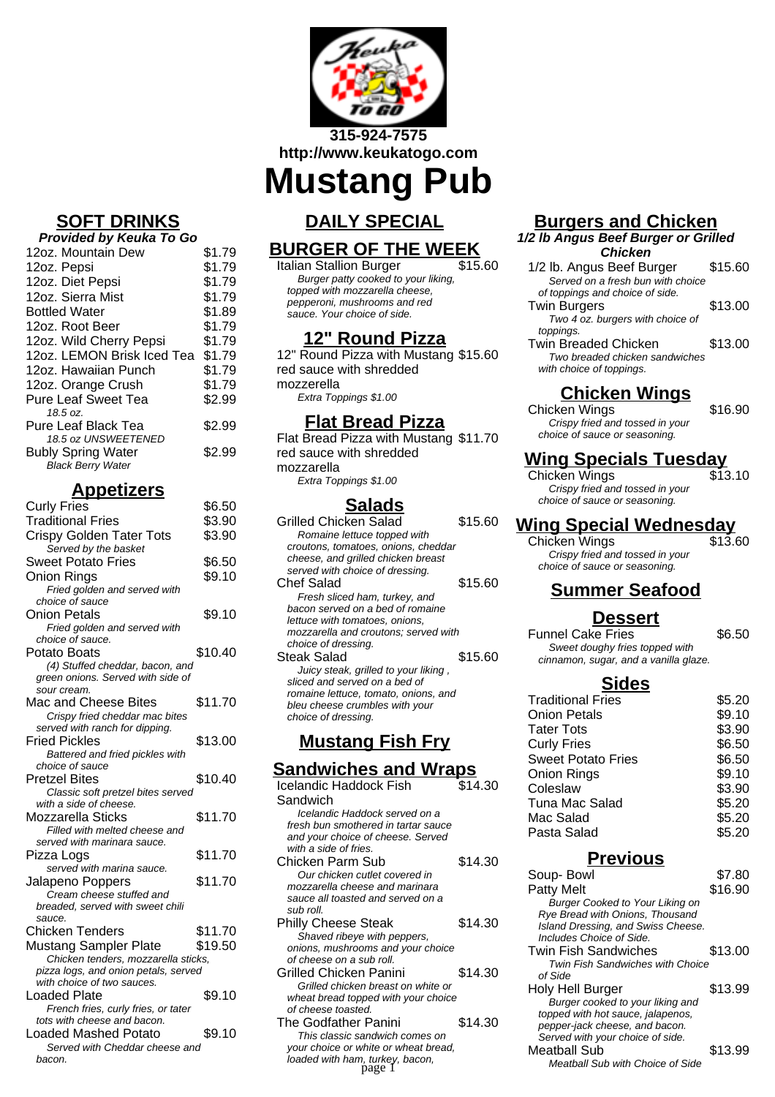

**http://www.keukatogo.com**

**Mustang Pub**

# **DAILY SPECIAL**

# **BURGER OF THE WEEK**

Italian Stallion Burger Burger patty cooked to your liking, topped with mozzarella cheese, pepperoni, mushrooms and red sauce. Your choice of side.

### **12" Round Pizza**

12" Round Pizza with Mustang \$15.60 red sauce with shredded mozzerella Extra Toppings \$1.00

### **Flat Bread Pizza**

Flat Bread Pizza with Mustang \$11.70 red sauce with shredded mozzarella Extra Toppings \$1.00

## **Salads**

Grilled Chicken Salad \$15.60 Romaine lettuce topped with croutons, tomatoes, onions, cheddar cheese, and grilled chicken breast served with choice of dressing. Chef Salad \$15.60 Fresh sliced ham, turkey, and bacon served on a bed of romaine lettuce with tomatoes, onions, mozzarella and croutons; served with choice of dressing. Steak Salad \$15.60 Juicy steak, grilled to your liking , sliced and served on a bed of romaine lettuce, tomato, onions, and bleu cheese crumbles with your choice of dressing.

# **Mustang Fish Fry**

### **Sandwiches and Wraps**

| Icelandic Haddock Fish               | \$14.30 |
|--------------------------------------|---------|
| Sandwich                             |         |
| Icelandic Haddock served on a        |         |
| fresh bun smothered in tartar sauce  |         |
| and your choice of cheese. Served    |         |
| with a side of fries.                |         |
| Chicken Parm Sub                     | \$14.30 |
| Our chicken cutlet covered in        |         |
| mozzarella cheese and marinara       |         |
| sauce all toasted and served on a    |         |
| sub roll.                            |         |
| <b>Philly Cheese Steak</b>           | \$14.30 |
| Shaved ribeye with peppers,          |         |
| onions, mushrooms and your choice    |         |
| of cheese on a sub roll.             |         |
| Grilled Chicken Panini               | \$14.30 |
| Grilled chicken breast on white or   |         |
| wheat bread topped with your choice  |         |
| of cheese toasted.                   |         |
| The Godfather Panini                 | \$14.30 |
| This classic sandwich comes on       |         |
| your choice or white or wheat bread, |         |
| loaded with ham, turkey, bacon,      |         |

# **Burgers and Chicken**

#### **1/2 lb Angus Beef Burger or Grilled Chicken**

| 1/2 lb. Angus Beef Burger         | \$15.60 |
|-----------------------------------|---------|
| Served on a fresh bun with choice |         |
| of toppings and choice of side.   |         |
| <b>Twin Burgers</b>               | \$13.00 |
| Two 4 oz. burgers with choice of  |         |
| toppings.                         |         |
| <b>Twin Breaded Chicken</b>       | \$13.00 |
| Two breaded chicken sandwiches    |         |
| with choice of toppings.          |         |

## **Chicken Wings**

Chicken Wings \$16.90 Crispy fried and tossed in your choice of sauce or seasoning.

## **Wing Specials Tuesday**

Chicken Wings \$13.10 Crispy fried and tossed in your choice of sauce or seasoning.

# **Wing Special Wednesday**

Chicken Wings Crispy fried and tossed in your choice of sauce or seasoning.

# **Summer Seafood**

#### **Dessert**

Funnel Cake Fries \$6.50 Sweet doughy fries topped with cinnamon, sugar, and a vanilla glaze.

#### **Sides**

| <b>Traditional Fries</b>  | \$5.20 |
|---------------------------|--------|
| <b>Onion Petals</b>       | \$9.10 |
| <b>Tater Tots</b>         | \$3.90 |
| <b>Curly Fries</b>        | \$6.50 |
| <b>Sweet Potato Fries</b> | \$6.50 |
| Onion Rings               | \$9.10 |
| Coleslaw                  | \$3.90 |
| <b>Tuna Mac Salad</b>     | \$5.20 |
| Mac Salad                 | \$5.20 |
| Pasta Salad               | \$5.20 |
|                           |        |

### **Previous**

| utlet covered in            |         | Soup-Bowl                                                      | \$7.80  |
|-----------------------------|---------|----------------------------------------------------------------|---------|
| se and marinara             |         | <b>Patty Melt</b>                                              | \$16.90 |
| d and served on a           |         | <b>Burger Cooked to Your Liking on</b>                         |         |
| Steak                       | \$14.30 | Rye Bread with Onions, Thousand                                |         |
| e with peppers,             |         | Island Dressing, and Swiss Cheese.<br>Includes Choice of Side. |         |
| oms and your choice         |         | <b>Twin Fish Sandwiches</b>                                    |         |
| sub roll.                   |         | <b>Twin Fish Sandwiches with Choice</b>                        | \$13.00 |
| i Panini                    | \$14.30 | of Side                                                        |         |
| n breast on white or        |         | Holy Hell Burger                                               | \$13.99 |
| ped with your choice        |         | Burger cooked to your liking and                               |         |
| эd.                         |         | topped with hot sauce, jalapenos,                              |         |
| Panini                      | \$14.30 | pepper-jack cheese, and bacon.                                 |         |
| andwich comes on            |         | Served with your choice of side.                               |         |
| hite or wheat bread,        |         | <b>Meatball Sub</b>                                            | \$13.99 |
| n, turkey, bacon,<br>page 1 |         | Meatball Sub with Choice of Side                               |         |
|                             |         |                                                                |         |

# **SOFT DRINKS**

| Provided by Keuka To Go    |        |  |
|----------------------------|--------|--|
| 12oz. Mountain Dew         | \$1.79 |  |
| 12oz. Pepsi                | \$1.79 |  |
| 12oz. Diet Pepsi           | \$1.79 |  |
| 12oz. Sierra Mist          | \$1.79 |  |
| <b>Bottled Water</b>       | \$1.89 |  |
| 12oz. Root Beer            | \$1.79 |  |
| 12oz. Wild Cherry Pepsi    | \$1.79 |  |
| 12oz. LEMON Brisk Iced Tea | \$1.79 |  |
| 12oz. Hawaiian Punch       | \$1.79 |  |
| 12oz. Orange Crush         | \$1.79 |  |
| <b>Pure Leaf Sweet Tea</b> | \$2.99 |  |
| 18.5 oz.                   |        |  |
| <b>Pure Leaf Black Tea</b> | \$2.99 |  |
| 18.5 oz UNSWEETENED        |        |  |
| <b>Bubly Spring Water</b>  | \$2.99 |  |
| <b>Black Berry Water</b>   |        |  |

#### **Appetizers** Curly Fries \$6.50

| UUIIY I II <del>C</del> S                                          | ψυ.υυ   |
|--------------------------------------------------------------------|---------|
| <b>Traditional Fries</b>                                           | \$3.90  |
| <b>Crispy Golden Tater Tots</b><br>Served by the basket            | \$3.90  |
| <b>Sweet Potato Fries</b>                                          | \$6.50  |
| Onion Rings                                                        | \$9.10  |
| Fried golden and served with                                       |         |
| choice of sauce                                                    |         |
| Onion Petals                                                       | \$9.10  |
| Fried golden and served with                                       |         |
| choice of sauce.                                                   |         |
| Potato Boats                                                       | \$10.40 |
| (4) Stuffed cheddar, bacon, and                                    |         |
| green onions. Served with side of                                  |         |
| sour cream.                                                        |         |
| Mac and Cheese Bites                                               | \$11.70 |
| Crispy fried cheddar mac bites                                     |         |
| served with ranch for dipping.                                     |         |
| Fried Pickles                                                      | \$13.00 |
| Battered and fried pickles with                                    |         |
| choice of sauce                                                    |         |
| <b>Pretzel Bites</b>                                               | \$10.40 |
| Classic soft pretzel bites served                                  |         |
| with a side of cheese.                                             |         |
| Mozzarella Sticks                                                  | \$11.70 |
| Filled with melted cheese and                                      |         |
| served with marinara sauce.                                        |         |
| Pizza Logs                                                         | \$11.70 |
| served with marina sauce.                                          |         |
| <b>Jalapeno Poppers</b>                                            | \$11.70 |
| Cream cheese stuffed and                                           |         |
| breaded, served with sweet chili                                   |         |
| sauce.                                                             |         |
| <b>Chicken Tenders</b>                                             | \$11.70 |
| <b>Mustang Sampler Plate</b>                                       | \$19.50 |
| Chicken tenders, mozzarella sticks,                                |         |
| pizza logs, and onion petals, served<br>with choice of two sauces. |         |
| <b>Loaded Plate</b>                                                | \$9.10  |
| French fries, curly fries, or tater                                |         |
| tots with cheese and bacon.                                        |         |
| <b>Loaded Mashed Potato</b>                                        | \$9.10  |
| Served with Cheddar cheese and                                     |         |
| bacon.                                                             |         |
|                                                                    |         |